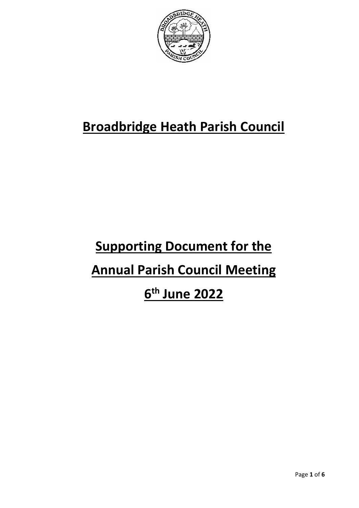

## **Broadbridge Heath Parish Council**

# **Supporting Document for the Annual Parish Council Meeting 6 th June 2022**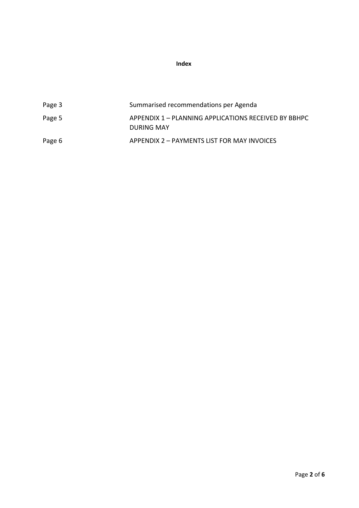**Index**

| Page 3 | Summarised recommendations per Agenda                              |
|--------|--------------------------------------------------------------------|
| Page 5 | APPENDIX 1 - PLANNING APPLICATIONS RECEIVED BY BBHPC<br>DURING MAY |
| Page 6 | APPENDIX 2 – PAYMENTS LIST FOR MAY INVOICES                        |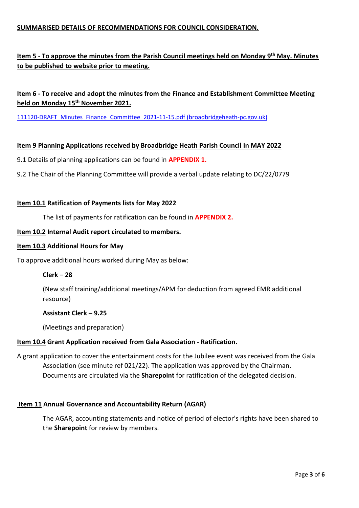#### **SUMMARISED DETAILS OF RECOMMENDATIONS FOR COUNCIL CONSIDERATION.**

#### **Item 5** - **To approve the minutes from the Parish Council meetings held on Monday 9 th May. Minutes to be published to website prior to meeting.**

#### **Item 6 - To receive and adopt the minutes from the Finance and Establishment Committee Meeting held on Monday 15th November 2021.**

[111120-DRAFT\\_Minutes\\_Finance\\_Committee\\_2021-11-15.pdf \(broadbridgeheath-pc.gov.uk\)](https://www.broadbridgeheath-pc.gov.uk/_UserFiles/Files/_Minutes/111120-DRAFT_Minutes_Finance_Committee_2021-11-15.pdf)

#### **Item 9 Planning Applications received by Broadbridge Heath Parish Council in MAY 2022**

- 9.1 Details of planning applications can be found in **APPENDIX 1.**
- 9.2 The Chair of the Planning Committee will provide a verbal update relating to DC/22/0779

#### **Item 10.1 Ratification of Payments lists for May 2022**

The list of payments for ratification can be found in **APPENDIX 2.**

#### **Item 10.2 Internal Audit report circulated to members.**

#### **Item 10.3 Additional Hours for May**

To approve additional hours worked during May as below:

#### **Clerk – 28**

(New staff training/additional meetings/APM for deduction from agreed EMR additional resource)

#### **Assistant Clerk – 9.25**

(Meetings and preparation)

#### **Item 10.4 Grant Application received from Gala Association - Ratification.**

A grant application to cover the entertainment costs for the Jubilee event was received from the Gala Association (see minute ref 021/22). The application was approved by the Chairman. Documents are circulated via the **Sharepoint** for ratification of the delegated decision.

#### **Item 11 Annual Governance and Accountability Return (AGAR)**

The AGAR, accounting statements and notice of period of elector's rights have been shared to the **Sharepoint** for review by members.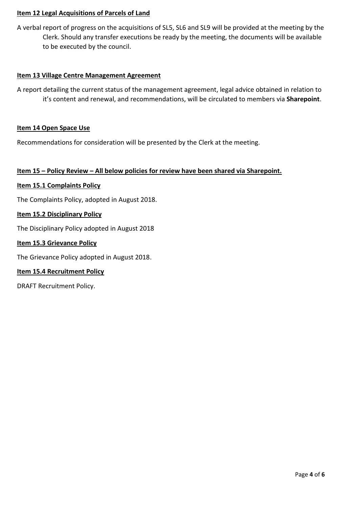#### **Item 12 Legal Acquisitions of Parcels of Land**

A verbal report of progress on the acquisitions of SL5, SL6 and SL9 will be provided at the meeting by the Clerk. Should any transfer executions be ready by the meeting, the documents will be available to be executed by the council.

#### **Item 13 Village Centre Management Agreement**

A report detailing the current status of the management agreement, legal advice obtained in relation to it's content and renewal, and recommendations, will be circulated to members via **Sharepoint**.

#### **Item 14 Open Space Use**

Recommendations for consideration will be presented by the Clerk at the meeting.

#### **Item 15 – Policy Review – All below policies for review have been shared via Sharepoint.**

#### **Item 15.1 Complaints Policy**

The Complaints Policy, adopted in August 2018.

#### **Item 15.2 Disciplinary Policy**

The Disciplinary Policy adopted in August 2018

#### **Item 15.3 Grievance Policy**

The Grievance Policy adopted in August 2018.

#### **Item 15.4 Recruitment Policy**

DRAFT Recruitment Policy.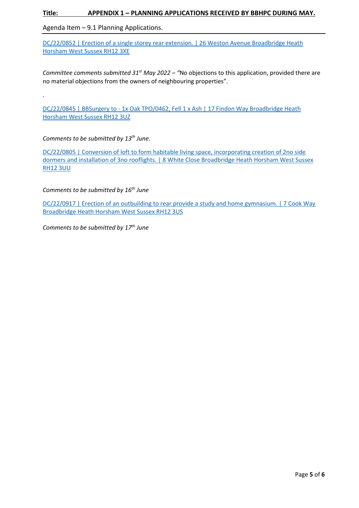#### **Title: APPENDIX 1 – PLANNING APPLICATIONS RECEIVED BY BBHPC DURING MAY.**

Agenda Item – 9.1 Planning Applications.

DC/22/0852 | Erection of a single storey rear extension. | 26 Weston Avenue Broadbridge Heath [Horsham West Sussex RH12 3XE](https://public-access.horsham.gov.uk/public-access/applicationDetails.do?activeTab=summary&keyVal=RB57MIIJHRK00)

*Committee comments submitted 31st May 2022 – "*No objections to this application, provided there are no material objections from the owners of neighbouring properties".

DC/22/0845 | BBSurgery to - 1x Oak TPO/0462, Fell 1 x Ash | 17 Findon Way Broadbridge Heath [Horsham West Sussex RH12 3UZ](https://public-access.horsham.gov.uk/public-access/applicationDetails.do?activeTab=summary&keyVal=RB3CYDIJHR200)

#### *Comments to be submitted by 13 th June.*

*.*

DC/22/0805 | Conversion of loft to form habitable living space, incorporating creation of 2no side dormers and installation of 3no rooflights. | 8 White Close Broadbridge Heath Horsham West Sussex [RH12 3UU](https://public-access.horsham.gov.uk/public-access/applicationDetails.do?activeTab=summary&keyVal=RAWI5OIJHOY00)

*Comments to be submitted by 16th June*

[DC/22/0917 | Erection of an outbuilding to rear provide a study and home gymnasium. | 7 Cook Way](https://public-access.horsham.gov.uk/public-access/applicationDetails.do?activeTab=summary&keyVal=RBRIDOIJHWX00)  [Broadbridge Heath Horsham West Sussex RH12 3US](https://public-access.horsham.gov.uk/public-access/applicationDetails.do?activeTab=summary&keyVal=RBRIDOIJHWX00)

*Comments to be submitted by 17th June*